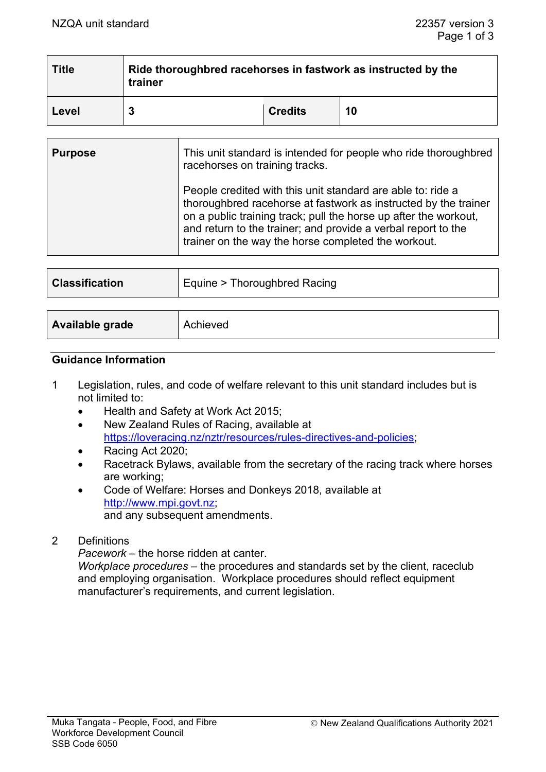$\blacksquare$ 

| <b>Title</b> | Ride thoroughbred racehorses in fastwork as instructed by the<br>trainer |                |    |  |  |
|--------------|--------------------------------------------------------------------------|----------------|----|--|--|
| Level        | 3                                                                        | <b>Credits</b> | 10 |  |  |

| <b>Purpose</b> | This unit standard is intended for people who ride thoroughbred<br>racehorses on training tracks.                                                                                                                                                                                                                          |
|----------------|----------------------------------------------------------------------------------------------------------------------------------------------------------------------------------------------------------------------------------------------------------------------------------------------------------------------------|
|                | People credited with this unit standard are able to: ride a<br>thoroughbred racehorse at fastwork as instructed by the trainer<br>on a public training track; pull the horse up after the workout,<br>and return to the trainer; and provide a verbal report to the<br>trainer on the way the horse completed the workout. |

| <b>Classification</b> | Equine > Thoroughbred Racing |  |
|-----------------------|------------------------------|--|
|                       |                              |  |
| Available grade       | Achieved                     |  |

#### **Guidance Information**

- 1 Legislation, rules, and code of welfare relevant to this unit standard includes but is not limited to:
	- Health and Safety at Work Act 2015;

┱

- New Zealand Rules of Racing, available at [https://loveracing.nz/nztr/resources/rules-directives-and-policies;](https://loveracing.nz/nztr/resources/rules-directives-and-policies)
- Racing Act 2020;
- Racetrack Bylaws, available from the secretary of the racing track where horses are working;
- Code of Welfare: Horses and Donkeys 2018, available at [http://www.mpi.govt.nz;](http://www.mpi.govt.nz/) and any subsequent amendments.
- 2 Definitions

*Pacework* – the horse ridden at canter.

*Workplace procedures* – the procedures and standards set by the client, raceclub and employing organisation. Workplace procedures should reflect equipment manufacturer's requirements, and current legislation.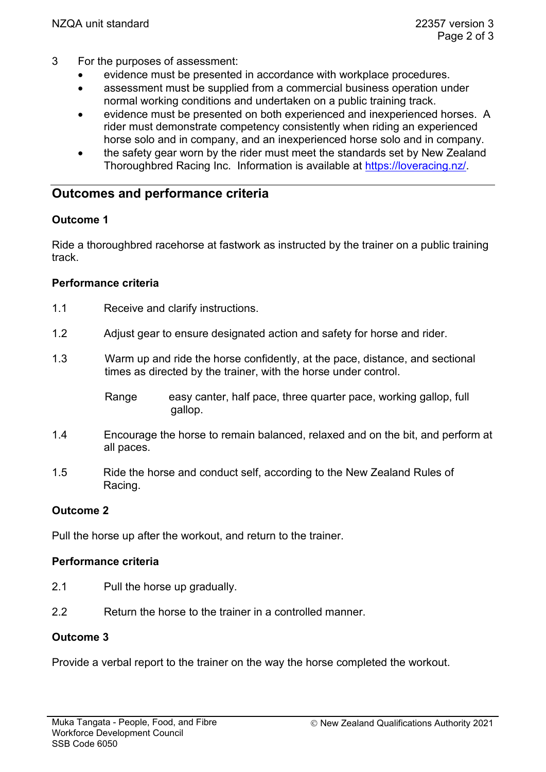- 3 For the purposes of assessment:
	- evidence must be presented in accordance with workplace procedures.
	- assessment must be supplied from a commercial business operation under normal working conditions and undertaken on a public training track.
	- evidence must be presented on both experienced and inexperienced horses. A rider must demonstrate competency consistently when riding an experienced horse solo and in company, and an inexperienced horse solo and in company.
	- the safety gear worn by the rider must meet the standards set by New Zealand Thoroughbred Racing Inc. Information is available at [https://loveracing.nz/.](https://loveracing.nz/)

# **Outcomes and performance criteria**

### **Outcome 1**

Ride a thoroughbred racehorse at fastwork as instructed by the trainer on a public training track.

# **Performance criteria**

- 1.1 Receive and clarify instructions.
- 1.2 Adjust gear to ensure designated action and safety for horse and rider.
- 1.3 Warm up and ride the horse confidently, at the pace, distance, and sectional times as directed by the trainer, with the horse under control.

Range easy canter, half pace, three quarter pace, working gallop, full gallop.

- 1.4 Encourage the horse to remain balanced, relaxed and on the bit, and perform at all paces.
- 1.5 Ride the horse and conduct self, according to the New Zealand Rules of Racing.

# **Outcome 2**

Pull the horse up after the workout, and return to the trainer.

#### **Performance criteria**

- 2.1 Pull the horse up gradually.
- 2.2 Return the horse to the trainer in a controlled manner.

#### **Outcome 3**

Provide a verbal report to the trainer on the way the horse completed the workout.